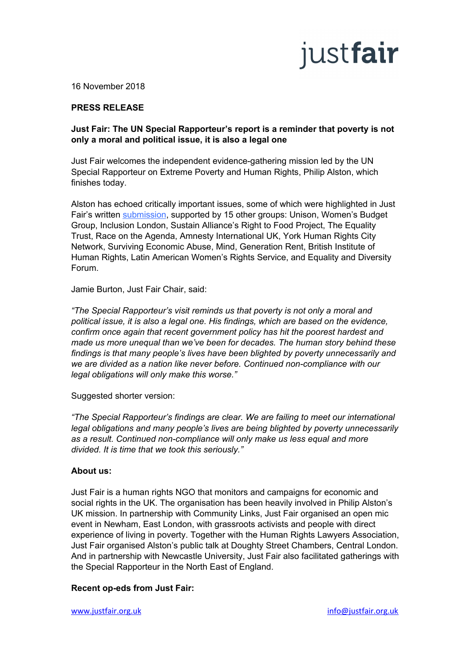# justfair

16 November 2018

### **PRESS RELEASE**

#### **Just Fair: The UN Special Rapporteur's report is a reminder that poverty is not only a moral and political issue, it is also a legal one**

Just Fair welcomes the independent evidence-gathering mission led by the UN Special Rapporteur on Extreme Poverty and Human Rights, Philip Alston, which finishes today.

Alston has echoed critically important issues, some of which were highlighted in Just Fair's written [submission](http://justfair.org.uk/wp-content/uploads/2018/09/Just_Fair_15_Alston_Submission-FINAL.pdf), supported by 15 other groups: Unison, Women's Budget Group, Inclusion London, Sustain Alliance's Right to Food Project, The Equality Trust, Race on the Agenda, Amnesty International UK, York Human Rights City Network, Surviving Economic Abuse, Mind, Generation Rent, British Institute of Human Rights, Latin American Women's Rights Service, and Equality and Diversity Forum.

Jamie Burton, Just Fair Chair, said:

*"The Special Rapporteur's visit reminds us that poverty is not only a moral and political issue, it is also a legal one. His findings, which are based on the evidence, confirm once again that recent government policy has hit the poorest hardest and made us more unequal than we've been for decades. The human story behind these findings is that many people's lives have been blighted by poverty unnecessarily and we are divided as a nation like never before. Continued non-compliance with our legal obligations will only make this worse."*

Suggested shorter version:

*"The Special Rapporteur's findings are clear. We are failing to meet our international legal obligations and many people's lives are being blighted by poverty unnecessarily as a result. Continued non-compliance will only make us less equal and more divided. It is time that we took this seriously."*

#### **About us:**

Just Fair is a human rights NGO that monitors and campaigns for economic and social rights in the UK. The organisation has been heavily involved in Philip Alston's UK mission. In partnership with Community Links, Just Fair organised an open mic event in Newham, East London, with grassroots activists and people with direct experience of living in poverty. Together with the Human Rights Lawyers Association, Just Fair organised Alston's public talk at Doughty Street Chambers, Central London. And in partnership with Newcastle University, Just Fair also facilitated gatherings with the Special Rapporteur in the North East of England.

#### **Recent op-eds from Just Fair:**